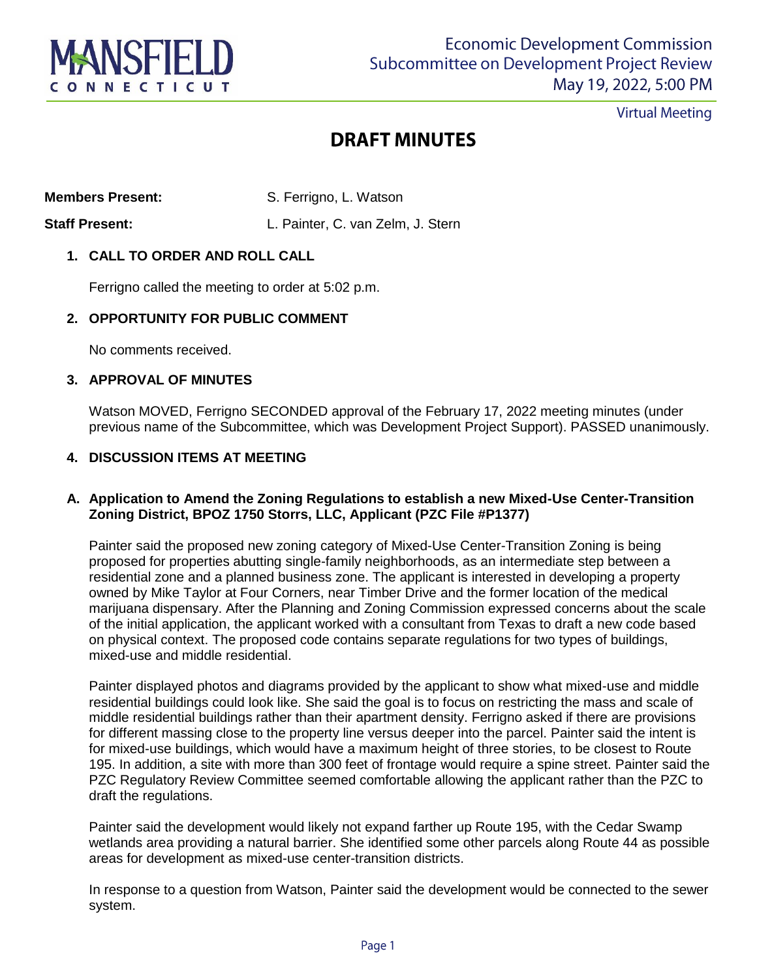

**Virtual Meeting** 

## **DRAFT MINUTES**

**Members Present:** S. Ferrigno, L. Watson

# **Staff Present:** L. Painter, C. van Zelm, J. Stern

### **1. CALL TO ORDER AND ROLL CALL**

Ferrigno called the meeting to order at 5:02 p.m.

#### **2. OPPORTUNITY FOR PUBLIC COMMENT**

No comments received.

#### **3. APPROVAL OF MINUTES**

Watson MOVED, Ferrigno SECONDED approval of the February 17, 2022 meeting minutes (under previous name of the Subcommittee, which was Development Project Support). PASSED unanimously.

#### **4. DISCUSSION ITEMS AT MEETING**

#### **A. Application to Amend the Zoning Regulations to establish a new Mixed-Use Center-Transition Zoning District, BPOZ 1750 Storrs, LLC, Applicant (PZC File #P1377)**

Painter said the proposed new zoning category of Mixed-Use Center-Transition Zoning is being proposed for properties abutting single-family neighborhoods, as an intermediate step between a residential zone and a planned business zone. The applicant is interested in developing a property owned by Mike Taylor at Four Corners, near Timber Drive and the former location of the medical marijuana dispensary. After the Planning and Zoning Commission expressed concerns about the scale of the initial application, the applicant worked with a consultant from Texas to draft a new code based on physical context. The proposed code contains separate regulations for two types of buildings, mixed-use and middle residential.

Painter displayed photos and diagrams provided by the applicant to show what mixed-use and middle residential buildings could look like. She said the goal is to focus on restricting the mass and scale of middle residential buildings rather than their apartment density. Ferrigno asked if there are provisions for different massing close to the property line versus deeper into the parcel. Painter said the intent is for mixed-use buildings, which would have a maximum height of three stories, to be closest to Route 195. In addition, a site with more than 300 feet of frontage would require a spine street. Painter said the PZC Regulatory Review Committee seemed comfortable allowing the applicant rather than the PZC to draft the regulations.

Painter said the development would likely not expand farther up Route 195, with the Cedar Swamp wetlands area providing a natural barrier. She identified some other parcels along Route 44 as possible areas for development as mixed-use center-transition districts.

In response to a question from Watson, Painter said the development would be connected to the sewer system.